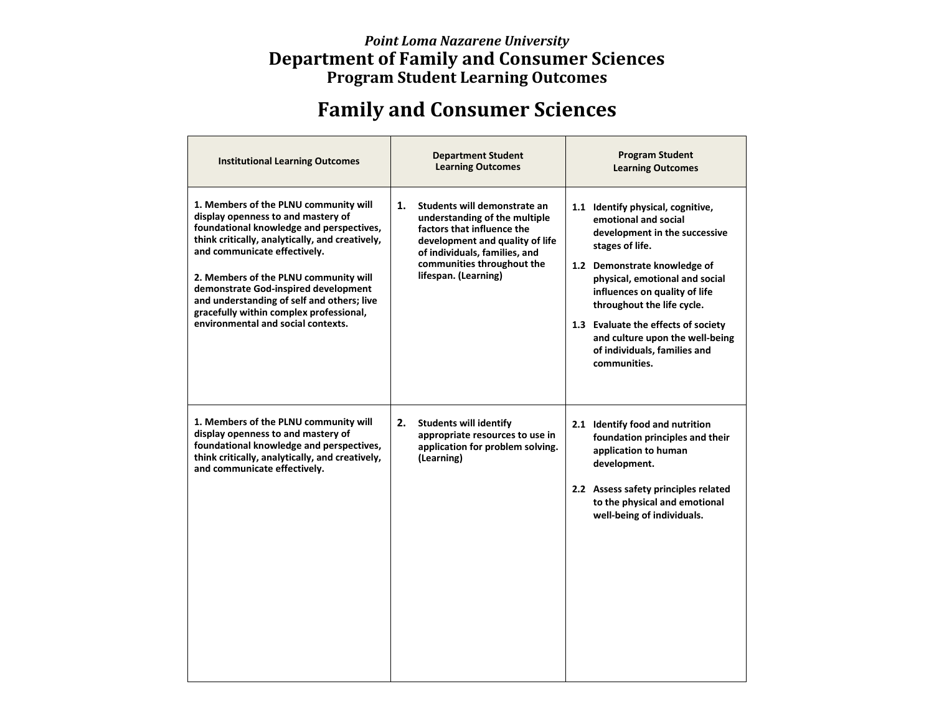## *Point Loma Nazarene University* **Department of Family and Consumer Sciences Program Student Learning Outcomes**

## **Family and Consumer Sciences**

| <b>Institutional Learning Outcomes</b>                                                                                                                                                                                                                                                                                                                                                                                     | <b>Department Student</b><br><b>Learning Outcomes</b>                                                                                                                                                                       | <b>Program Student</b><br><b>Learning Outcomes</b>                                                                                                                                                                                                                                                                                                                       |
|----------------------------------------------------------------------------------------------------------------------------------------------------------------------------------------------------------------------------------------------------------------------------------------------------------------------------------------------------------------------------------------------------------------------------|-----------------------------------------------------------------------------------------------------------------------------------------------------------------------------------------------------------------------------|--------------------------------------------------------------------------------------------------------------------------------------------------------------------------------------------------------------------------------------------------------------------------------------------------------------------------------------------------------------------------|
| 1. Members of the PLNU community will<br>display openness to and mastery of<br>foundational knowledge and perspectives,<br>think critically, analytically, and creatively,<br>and communicate effectively.<br>2. Members of the PLNU community will<br>demonstrate God-inspired development<br>and understanding of self and others; live<br>gracefully within complex professional,<br>environmental and social contexts. | 1.<br>Students will demonstrate an<br>understanding of the multiple<br>factors that influence the<br>development and quality of life<br>of individuals, families, and<br>communities throughout the<br>lifespan. (Learning) | 1.1 Identify physical, cognitive,<br>emotional and social<br>development in the successive<br>stages of life.<br>1.2 Demonstrate knowledge of<br>physical, emotional and social<br>influences on quality of life<br>throughout the life cycle.<br>1.3 Evaluate the effects of society<br>and culture upon the well-being<br>of individuals, families and<br>communities. |
| 1. Members of the PLNU community will<br>display openness to and mastery of<br>foundational knowledge and perspectives,<br>think critically, analytically, and creatively,<br>and communicate effectively.                                                                                                                                                                                                                 | 2.<br><b>Students will identify</b><br>appropriate resources to use in<br>application for problem solving.<br>(Learning)                                                                                                    | 2.1 Identify food and nutrition<br>foundation principles and their<br>application to human<br>development.<br>2.2 Assess safety principles related<br>to the physical and emotional<br>well-being of individuals.                                                                                                                                                        |